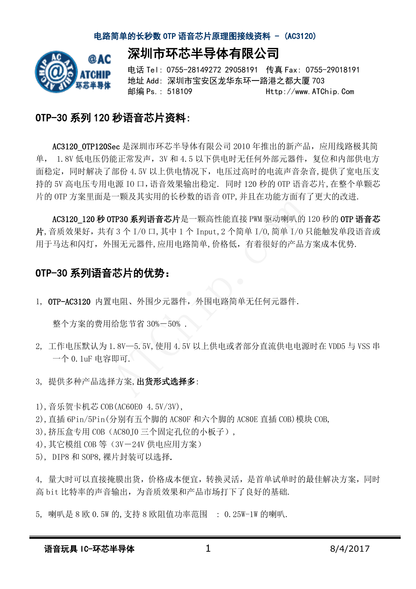深圳市环芯半导体有限公司



电话 Tel: 0755-28149272 29058191 传真 Fax: 0755-29018191 地址 Add: 深圳市宝安区龙华东环一路港之都大厦 703 邮编 Ps.: 518109 Http://www.ATChip.Com

### OTP-30 系列 120 秒语音芯片资料:

AC3120 OTP120Sec 是深圳市环芯半导体有限公司 2010 年推出的新产品, 应用线路极其简 单, 1.8V 低电压仍能正常发声,3V 和 4.5 以下供电时无任何外部元器件,复位和内部供电方 面稳定,同时解决了部份 4.5V 以上供电情况下,电压过高时的电流声音杂音,提供了宽电压支 持的 5V 高电压专用电源 IO 口,语音效果输出稳定. 同时 120 秒的 OTP 语音芯片,在整个单颗芯 片的 OTP 方案里面是一颗及其实用的长秒数的语音 OTP,并且在功能方面有了更大的改进.

AC3120 120 秒 OTP30 系列语音芯片是一颗高性能直接 PWM 驱动喇叭的 120 秒的 OTP 语音芯 片,音质效果好,共有 3 个 I/O 口,其中 1 个 Input,2 个简单 I/O,简单 I/O 只能触发单段语音或 用于马达和闪灯,外围无元器件,应用电路简单,价格低,有着很好的产品方案成本优势. ; 1.11.11.3,11.3, 11.11<br>接 PWM 驱动喇叭的<br>5单 I/0, 简单 I/0<br>有着很好的产品

### OTP-30 系列语音芯片的优势:

1, OTP-AC3120 内置电阻、外围少元器件,外围电路简单无任何元器件.

整个方案的费用给您节省 30%-50% .

- 2, 工作电压默认为 1.8V—5.5V,使用 4.5V 以上供电或者部分直流供电电源时在 VDD5 与 VSS 串 一个 0.1uF 电容即可. 125月115257<br>[电阻、外围少元器件, 外围电路简单无任<br>给您节省 30%-50%.<br>1.8V-5.5V,使用 4.5V 以上供电或者部分。<br>即可.<br><sup>第方案,</sup>出货形式选择多:
- 3, 提供多种产品选择方案,出货形式选择多:
- 1),音乐贺卡机芯 COB(AC60E0 4.5V/3V),
- 2),直插 6Pin/5Pin(分别有五个脚的 AC80F 和六个脚的 AC80E 直插 COB)模块 COB,
- 3), 挤压盒专用 COB (AC80J0 三个固定孔位的小板子),
- 4), 其它模组 COB 等 (3V-24V 供电应用方案)
- 5), DIP8 和 SOP8,裸片封装可以选择.

4, 量大时可以直接掩膜出货,价格成本便宜,转换灵活,是首单试单时的最佳解决方案,同时 高 bit 比特率的声音输出,为音质效果和产品市场打下了良好的基础.

5, 喇叭是 8 欧 0.5W 的,支持 8 欧阻值功率范围 : 0.25W-1W 的喇叭.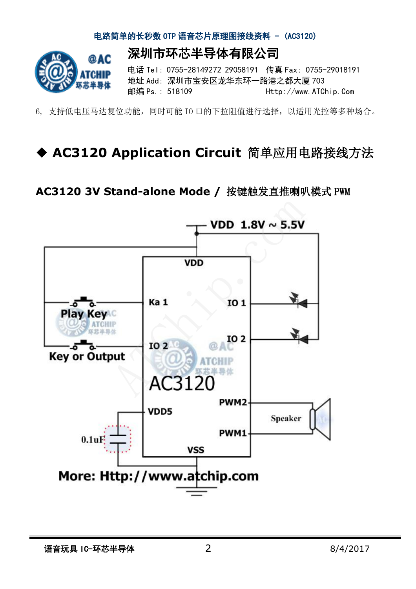

6, 支持低电压马达复位功能,同时可能 IO 口的下拉阻值进行选择,以适用光控等多种场合。

# ◆ AC3120 Application Circuit 简单应用电路接线方法

### **AC3120 3V Stand-alone Mode /** 按键触发直推喇叭模式 PWM

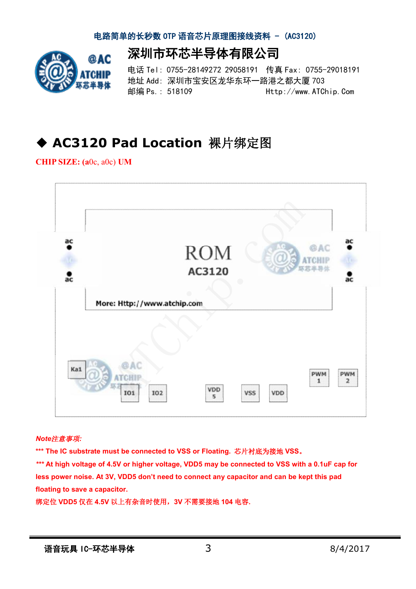深圳市环芯半导体有限公司



电话 Tel: 0755-28149272 29058191 传真 Fax: 0755-29018191 地址 Add: 深圳市宝安区龙华东环一路港之都大厦 703 邮编 Ps.: 518109 Http://www.ATChip.Com

## ◆ AC3120 Pad Location 裸片绑定图

**CHIP SIZE: (a**0c, a0c) **UM**



#### *Note*注意事项*:*

**\*\*\* The IC substrate must be connected to VSS or Floating.** 芯片衬底为接地 **VSS**。

*\*\*\** **At high voltage of 4.5V or higher voltage, VDD5 may be connected to VSS with a 0.1uF cap for less power noise. At 3V, VDD5 don't need to connect any capacitor and can be kept this pad floating to save a capacitor.** 

绑定位 **VDD5** 仅在 **4.5V** 以上有杂音时使用,**3V** 不需要接地 **104** 电容**.**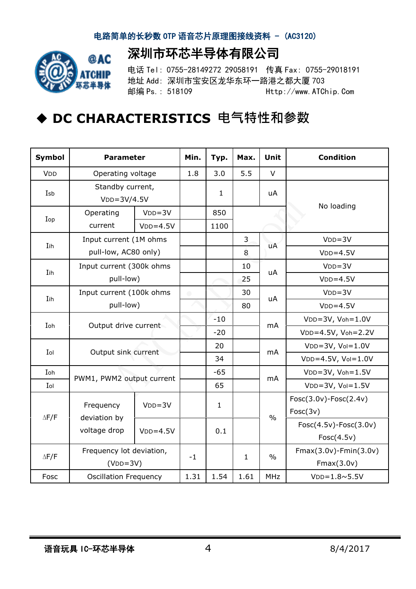深圳市环芯半导体有限公司



电话 Tel: 0755-28149272 29058191 传真 Fax: 0755-29018191 地址 Add: 深圳市宝安区龙华东环一路港之都大厦 703 邮编 Ps.: 518109 Http://www.ATChip.Com

# ◆ DC CHARACTERISTICS 电气特性和参数

| Symbol       | <b>Parameter</b>                               | Min.       | Typ.       | Max.         | <b>Unit</b>  | <b>Condition</b> |                             |
|--------------|------------------------------------------------|------------|------------|--------------|--------------|------------------|-----------------------------|
| <b>VDD</b>   | Operating voltage                              | 1.8        | 3.0        | 5.5          | $\vee$       |                  |                             |
| Isb          | Standby current,<br>$VDD=3V/4.5V$              |            |            | $\mathbf{1}$ |              | uA               | No loading                  |
|              | Operating                                      | $VDD = 3V$ |            | 850          |              |                  |                             |
| Iop          | current                                        | $VDD=4.5V$ |            | 1100         |              |                  |                             |
| Iih          | Input current (1M ohms<br>pull-low, AC80 only) |            |            |              | 3            | uA               | $VDD = 3V$                  |
|              |                                                |            |            |              | 8            |                  | $VDD=4.5V$                  |
| Iih          | Input current (300k ohms<br>pull-low)          |            |            |              | 10           | uA               | $VDD = 3V$                  |
|              |                                                |            |            |              | 25           |                  | $VDD=4.5V$                  |
|              | Input current (100k ohms<br>pull-low)          |            | $\bigcirc$ |              | 30           | uA               | $VDD = 3V$                  |
| Iih          |                                                |            |            |              | 80           |                  | $VDD=4.5V$                  |
|              | Output drive current                           |            |            | $-10$        |              | mA               | $VDD=3V$ , $Voh=1.0V$       |
| Ioh          |                                                |            |            | $-20$        |              |                  | VDD=4.5V, Voh=2.2V          |
| Iol          | Output sink current                            |            |            | 20           |              | mA               | $VDD=3V, Vol=1.0V$          |
|              |                                                |            |            | 34           |              |                  | $VDD=4.5V, Vol=1.0V$        |
| Ioh          | PWM1, PWM2 output current                      |            |            | $-65$        |              | mA               | $VDD=3V$ , $Voh=1.5V$       |
| Iol          |                                                |            |            | 65           |              |                  | $VDD=3V, Vol=1.5V$          |
| $\Delta$ F/F | Frequency<br>deviation by<br>voltage drop      | $VDD = 3V$ |            | $\mathbf{1}$ |              | $\frac{0}{0}$    | Fosc(3.0v)-Fosc(2.4v)       |
|              |                                                |            |            |              |              |                  | Fosc(3v)                    |
|              |                                                | $VDD=4.5V$ |            | 0.1          |              |                  | Fosc(4.5v)-Fosc(3.0v)       |
|              |                                                |            |            |              |              |                  | Fosc(4.5v)                  |
|              | Frequency lot deviation,                       |            | $-1$       |              | $\mathbf{1}$ | $\frac{0}{0}$    | $Fmax(3.0v)$ -Fmin $(3.0v)$ |
| $\Delta$ F/F | $(VDD=3V)$                                     |            |            |              |              |                  | Fmax(3.0v)                  |
| Fosc         | <b>Oscillation Frequency</b>                   |            | 1.31       | 1.54         | 1.61         | <b>MHz</b>       | $VDD = 1.8 \times 5.5V$     |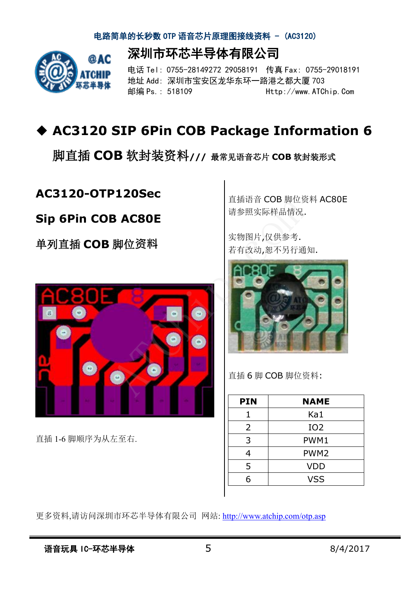深圳市环芯半导体有限公司



电话 Tel: 0755-28149272 29058191 传真 Fax: 0755-29018191 地址 Add: 深圳市宝安区龙华东环一路港之都大厦 703 邮编 Ps.: 518109 Http://www.ATChip.Com

# u **AC3120 SIP 6Pin COB Package Information 6**

脚直插 **COB** 软封装资料**///** 最常见语音芯片 **COB** 软封装形式

### **AC3120-OTP120Sec**

### **Sip 6Pin COB AC80E**

单列直插 **COB** 脚位**资料**



直插 1-6 脚顺序为从左至右.

直插语音 COB 脚位资料 AC80E 请参照实际样品情况.

实物图片,仅供参考. 若有改动,恕不另行通知. #培言 COB 脚位 5<br>※照实际样品情况.<br>勿图片,仅供参考.<br>『改动,恕不另行通



直插 6 脚 COB 脚位资料:

| <b>NAME</b>      |  |  |  |
|------------------|--|--|--|
| Ka1              |  |  |  |
| IO <sub>2</sub>  |  |  |  |
| PWM1             |  |  |  |
| PWM <sub>2</sub> |  |  |  |
| <b>VDD</b>       |  |  |  |
| <b>VSS</b>       |  |  |  |
|                  |  |  |  |

更多资料,请访问深圳市环芯半导体有限公司 网站: http://www.atchip.com/otp.asp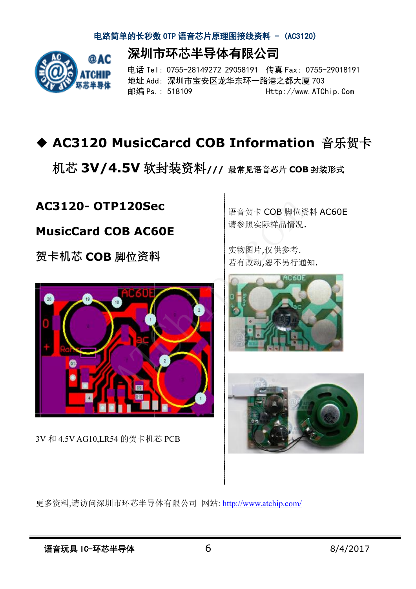深圳市环芯半导体有限公司



电话 Tel: 0755-28149272 29058191 传真 Fax: 0755-29018191 地址 Add: 深圳市宝安区龙华东环一路港之都大厦 703 邮编 Ps.: 518109 Http://www.ATChip.Com

# u **AC3120 MusicCarcd COB Information** 音乐贺卡

机芯 **3V/4.5V** 软封装资料**///** 最常见语音芯片 **COB** 封装形式

### **AC3120- OTP120Sec**

### **MusicCard COB AC60E**

**贺卡机芯 COB** 脚位**资料**



3V 和 4.5V AG10,LR54 的贺卡机芯 PCB

语音贺卡 COB 脚位资料 AC60E 请参照实际样品情况. 语音贺卡 COB 脚位资料,<br>请参照实际样品情况.<br>实物图片,仅供参考.<br>实物图片,仅供参考.

实物图片,仅供参考.





更多资料,请访问深圳市环芯半导体有限公司 网站: http://www.atchip.com/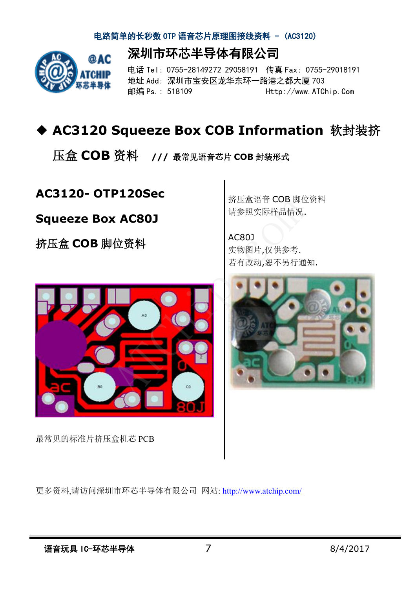![](_page_6_Picture_1.jpeg)

深圳市环芯半导体有限公司 电话 Tel: 0755-28149272 29058191 传真 Fax: 0755-29018191

地址 Add: 深圳市宝安区龙华东环一路港之都大厦 703 邮编 Ps.: 518109 Http://www.ATChip.Com

# u **AC3120 Squeeze Box COB Information** 软封装挤

压盒 **COB** 资料 **///** 最常见语音芯片 **COB** 封装形式

### **AC3120- OTP120Sec**

### **Squeeze Box AC80J**

挤压盒 **COB** 脚位资料

![](_page_6_Picture_9.jpeg)

最常见的标准片挤压盒机芯 PCB

挤压盒语音 COB 脚位资料 请参照实际样品情况.

AC80J 实物图片,仅供参考. 疥压盘培言 COB 脚位员↑<br>请参照实际样品情况.<br>工务<br>实物图片,仅供参考.<br>实物图片,仅供参考.

![](_page_6_Picture_13.jpeg)

更多资料,请访问深圳市环芯半导体有限公司 网站: http://www.atchip.com/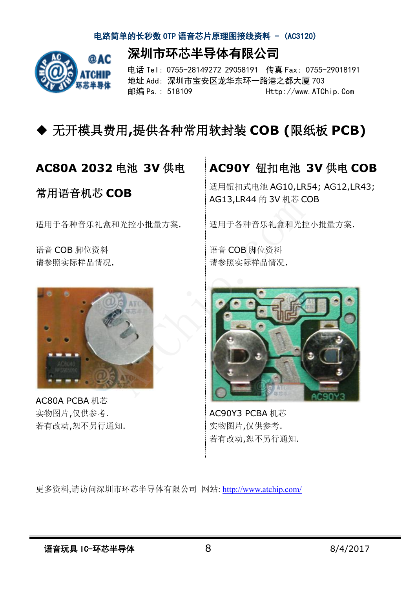深圳市环芯半导体有限公司

![](_page_7_Picture_1.jpeg)

电话 Tel: 0755-28149272 29058191 传真 Fax: 0755-29018191 地址 Add: 深圳市宝安区龙华东环一路港之都大厦 703 邮编 Ps.: 518109 Http://www.ATChip.Com

## u 无开模具费用**,**提供各种常用软封装 **COB (**限纸板 **PCB)**

### **AC80A 2032** 电池 **3V** 供电

常用语音机芯 **COB** 

适用于各种音乐礼盒和光控小批量方案.

语音 COB 脚位资料 请参照实际样品情况.

![](_page_7_Picture_8.jpeg)

AC80A PCBA 机芯 实物图片,仅供参考. 若有改动,恕不另行通知.

### **AC90Y** 钮扣电池 **3V** 供电 **COB**

适用钮扣式电池 AG10,LR54; AG12,LR43; AG13,LR44 的 3V 机芯 COB

适用于各种音乐礼盒和光控小批量方案.

语音 COB 脚位资料 请参照实际样品情况. R44 的 5v 机心し<br>-种音乐礼盒和光控<br>B 脚位资料<br>:际样品情况.

![](_page_7_Picture_14.jpeg)

AC90Y3 PCBA 机芯 实物图片,仅供参考. 若有改动,恕不另行通知.

更多资料,请访问深圳市环芯半导体有限公司 网站: http://www.atchip.com/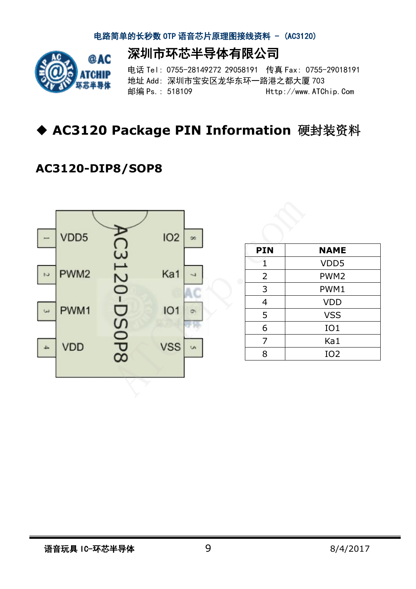深圳市环芯半导体有限公司

![](_page_8_Picture_1.jpeg)

电话 Tel: 0755-28149272 29058191 传真 Fax: 0755-29018191 地址 Add: 深圳市宝安区龙华东环一路港之都大厦 703 邮编 Ps.: 518109 Http://www.ATChip.Com

# u **AC3120 Package PIN Information** 硬封装资料

### **AC3120-DIP8/SOP8**

![](_page_8_Figure_5.jpeg)

| <b>PIN</b>     | <b>NAME</b>      |
|----------------|------------------|
| 1              | VDD5             |
| $\overline{2}$ | PWM <sub>2</sub> |
| 3              | PWM1             |
| 4              | <b>VDD</b>       |
| 5              | <b>VSS</b>       |
| 6              | IO1              |
| 7              | Ka1              |
| 8              | IO <sub>2</sub>  |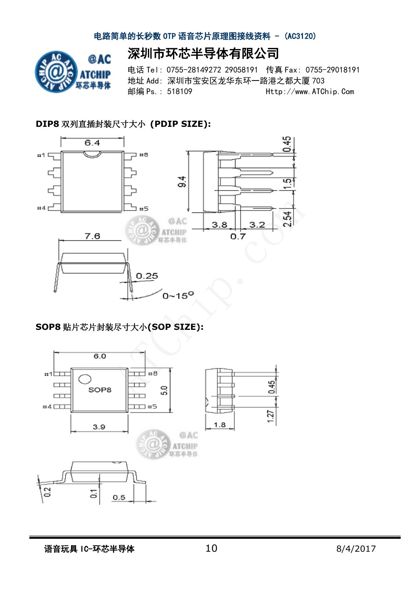![](_page_9_Picture_1.jpeg)

深圳市环芯半导体有限公司

电话 Tel: 0755-28149272 29058191 传真 Fax: 0755-29018191 地址 Add: 深圳市宝安区龙华东环一路港之都大厦 703 邮编 Ps.: 518109 Http://www.ATChip.Com

### **DIP8** 双列直插封装尺寸大小 **(PDIP SIZE):**

![](_page_9_Figure_5.jpeg)

### **SOP8** 贴片芯片封装尽寸大小**(SOP SIZE):**

![](_page_9_Figure_7.jpeg)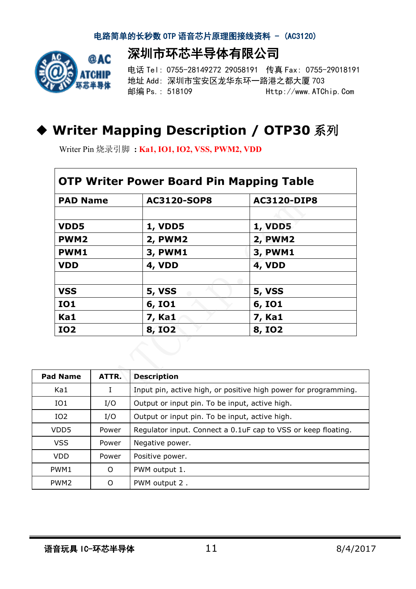深圳市环芯半导体有限公司

![](_page_10_Picture_1.jpeg)

电话 Tel: 0755-28149272 29058191 传真 Fax: 0755-29018191 地址 Add: 深圳市宝安区龙华东环一路港之都大厦 703 邮编 Ps.: 518109 Http://www.ATChip.Com

# u **Writer Mapping Description / OTP30** 系列

Writer Pin 烧录引脚 **: Ka1, IO1, IO2, VSS, PWM2, VDD** 

| <b>PAD Name</b> |  | <b>AC3120-SOP8</b> | <b>AC3120-DIP8</b> |  |
|-----------------|--|--------------------|--------------------|--|
|                 |  |                    |                    |  |
| VDD5            |  | <b>1, VDD5</b>     | <b>1, VDD5</b>     |  |
| <b>PWM2</b>     |  | <b>2, PWM2</b>     | <b>2, PWM2</b>     |  |
| <b>PWM1</b>     |  | 3, PWM1            | <b>3, PWM1</b>     |  |
| <b>VDD</b>      |  | 4, VDD             | 4, VDD             |  |
|                 |  |                    |                    |  |
| <b>VSS</b>      |  | <b>5, VSS</b>      | <b>5, VSS</b>      |  |
| <b>IO1</b>      |  | 6, IO1             | <b>6, IO1</b>      |  |
| Ka1             |  | 7, Ka1             | 7, Ka1             |  |
| <b>IO2</b>      |  | <b>8, IO2</b>      | 8, 102             |  |

| <b>Pad Name</b>  | ATTR.    | <b>Description</b>                                              |  |  |
|------------------|----------|-----------------------------------------------------------------|--|--|
| Ka1              |          | Input pin, active high, or positive high power for programming. |  |  |
| IO1              | I/O      | Output or input pin. To be input, active high.                  |  |  |
| IO <sub>2</sub>  | I/O      | Output or input pin. To be input, active high.                  |  |  |
| VDD <sub>5</sub> | Power    | Regulator input. Connect a 0.1uF cap to VSS or keep floating.   |  |  |
| <b>VSS</b>       | Power    | Negative power.                                                 |  |  |
| <b>VDD</b>       | Power    | Positive power.                                                 |  |  |
| PWM1             | $\Omega$ | PWM output 1.                                                   |  |  |
| PWM <sub>2</sub> | ∩        | PWM output 2.                                                   |  |  |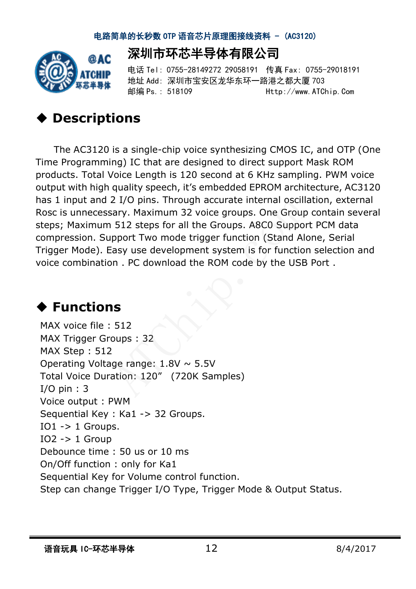![](_page_11_Picture_1.jpeg)

## 深圳市环芯半导体有限公司

电话 Tel: 0755-28149272 29058191 传真 Fax: 0755-29018191 地址 Add: 深圳市宝安区龙华东环一路港之都大厦 703 邮编 Ps.: 518109 Http://www.ATChip.Com

# **Descriptions**

The AC3120 is a single-chip voice synthesizing CMOS IC, and OTP (One Time Programming) IC that are designed to direct support Mask ROM products. Total Voice Length is 120 second at 6 KHz sampling. PWM voice output with high quality speech, it's embedded EPROM architecture, AC3120 has 1 input and 2 I/O pins. Through accurate internal oscillation, external Rosc is unnecessary. Maximum 32 voice groups. One Group contain several steps; Maximum 512 steps for all the Groups. A8C0 Support PCM data compression. Support Two mode trigger function (Stand Alone, Serial Trigger Mode). Easy use development system is for function selection and voice combination . PC download the ROM code by the USB Port . Pinternal oscili<br>Pps. One Group<br>S. A8C0 Suppolition (Stand Ali<br>In is for function<br>de by the USB

# **♦ Functions**

MAX voice file : 512 MAX Trigger Groups : 32 MAX Step : 512 Operating Voltage range:  $1.8V \sim 5.5V$ Total Voice Duration: 120" (720K Samples) I/O pin : 3 Voice output : PWM Sequential Key : Ka1 -> 32 Groups.  $IO1 - > 1$  Groups. IO2 -> 1 Group Debounce time : 50 us or 10 ms On/Off function : only for Ka1 Sequential Key for Volume control function. Step can change Trigger I/O Type, Trigger Mode & Output Status. **1S**<br>512<br>
oups : 32<br>
2<br>
ige range: 1.8V ~ 5.5V<br>
ation: 120″ (720K Samples)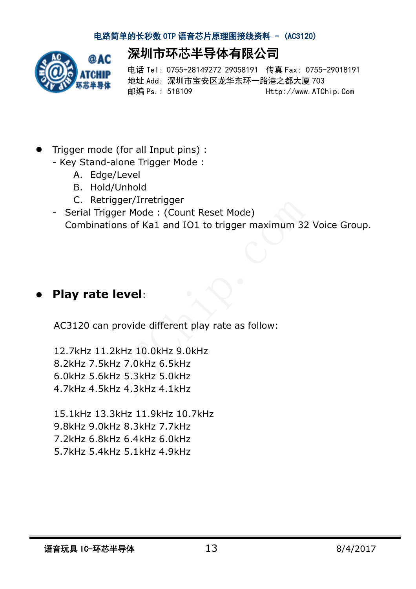![](_page_12_Picture_1.jpeg)

深圳市环芯半导体有限公司 电话 Tel: 0755-28149272 29058191 传真 Fax: 0755-29018191 地址 Add: 深圳市宝安区龙华东环一路港之都大厦 703

邮编 Ps.: 518109 Http://www.ATChip.Com

- l Trigger mode (for all Input pins) :
	- Key Stand-alone Trigger Mode :
		- A. Edge/Level
		- B. Hold/Unhold
		- C. Retrigger/Irretrigger
	- Serial Trigger Mode : (Count Reset Mode) Combinations of Ka1 and IO1 to trigger maximum 32 Voice Group. de)<br><sup>er</sup> maximum 32<br>Computer

## l **Play rate level**:

AC3120 can provide different play rate as follow:

12.7kHz 11.2kHz 10.0kHz 9.0kHz 8.2kHz 7.5kHz 7.0kHz 6.5kHz 6.0kHz 5.6kHz 5.3kHz 5.0kHz 4.7kHz 4.5kHz 4.3kHz 4.1kHz **level**:<br>provide different play rate as follo<br>2kHz 10.0kHz 9.0kHz<br>Hz 7.0kHz 6.5kHz<br>Hz 5.3kHz 5.0kHz<br>Hz 4.3kHz 4.1kHz

15.1kHz 13.3kHz 11.9kHz 10.7kHz 9.8kHz 9.0kHz 8.3kHz 7.7kHz 7.2kHz 6.8kHz 6.4kHz 6.0kHz 5.7kHz 5.4kHz 5.1kHz 4.9kHz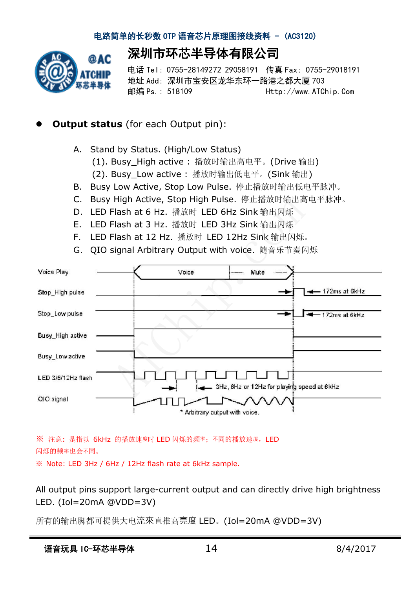深圳市环芯半导体有限公司

![](_page_13_Picture_1.jpeg)

电话 Tel: 0755-28149272 29058191 传真 Fax: 0755-29018191 地址 Add: 深圳市宝安区龙华东环一路港之都大厦 703 邮编 Ps.: 518109 Http://www.ATChip.Com

### **Output status** (for each Output pin):

- A. Stand by Status. (High/Low Status)
	- (1). Busy\_High active : 播放时输出高电平。(Drive 输出)
	- (2). Busy\_Low active : 播放时输出低电平。(Sink 输出)
- B. Busy Low Active, Stop Low Pulse. 停止播放时输出低电平脉冲。
- C. Busy High Active, Stop High Pulse. 停止播放时输出高电平脉冲。
- D. LED Flash at 6 Hz. 播放时 LED 6Hz Sink 输出闪烁
- E. LED Flash at 3 Hz. 播放时 LED 3Hz Sink 输出闪烁
- F. LED Flash at 12 Hz. 播放时 LED 12Hz Sink 输出闪烁。 佇止描成的制出員<br>Sink 输出闪烁<br>Sink 输出闪烁<br>Iz Sink 输出闪烁<br>ice. 随音乐节奏闪
- G. QIO signal Arbitrary Output with voice. 随音乐节奏闪烁

| Voice Play         |  | Voice | Mute<br>$- - - - -$                        |     |                    |
|--------------------|--|-------|--------------------------------------------|-----|--------------------|
| Stop_High pulse    |  |       |                                            |     | $-172ms$ at $6kHz$ |
| Stop_Low pulse     |  |       |                                            |     | 172ms at 6kHz      |
| Busy_High active   |  |       |                                            |     |                    |
| Busy_Low active    |  |       |                                            |     |                    |
| LED 3/6/12Hz flash |  |       | 3Hz, 6Hz or 12Hz for playing speed at 6kHz |     |                    |
| QIO signal         |  |       | * Arbitrary output with voice.             | vv∧ |                    |

※ 注意: 是指以 6kHz 的播放速度时 LED 闪烁的频率;不同的播放速度,LED 闪烁的频率也会不同。

※ Note: LED 3Hz / 6Hz / 12Hz flash rate at 6kHz sample.

All output pins support large-current output and can directly drive high brightness LED. (Iol=20mA @VDD=3V)

所有的输出脚都可提供大电流來直推高亮度 LED。(Iol=20mA @VDD=3V)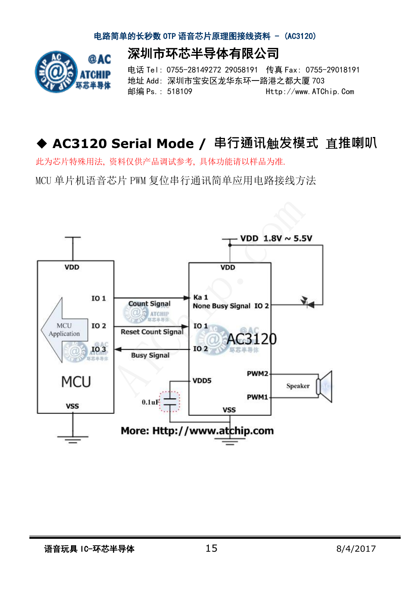深圳市环芯半导体有限公司

![](_page_14_Picture_1.jpeg)

电话 Tel: 0755-28149272 29058191 传真 Fax: 0755-29018191 地址 Add: 深圳市宝安区龙华东环一路港之都大厦 703 邮编 Ps.: 518109 Http://www.ATChip.Com

# ◆ AC3120 Serial Mode / 串行通讯触发模式 直推喇叭

此为芯片特殊用法, 资料仅供产品调试参考, 具体功能请以样品为准.

MCU 单片机语音芯片 PWM 复位串行通讯简单应用电路接线方法

![](_page_14_Figure_6.jpeg)